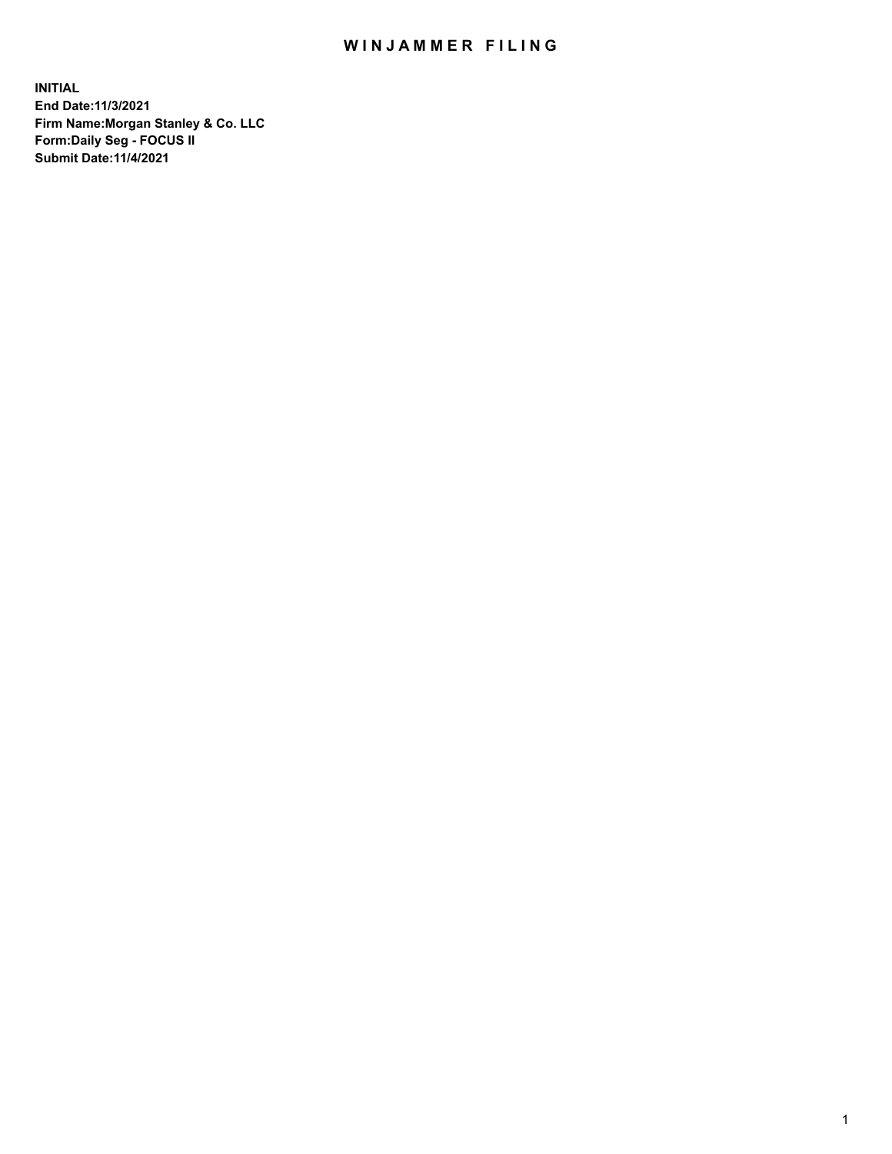## WIN JAMMER FILING

**INITIAL End Date:11/3/2021 Firm Name:Morgan Stanley & Co. LLC Form:Daily Seg - FOCUS II Submit Date:11/4/2021**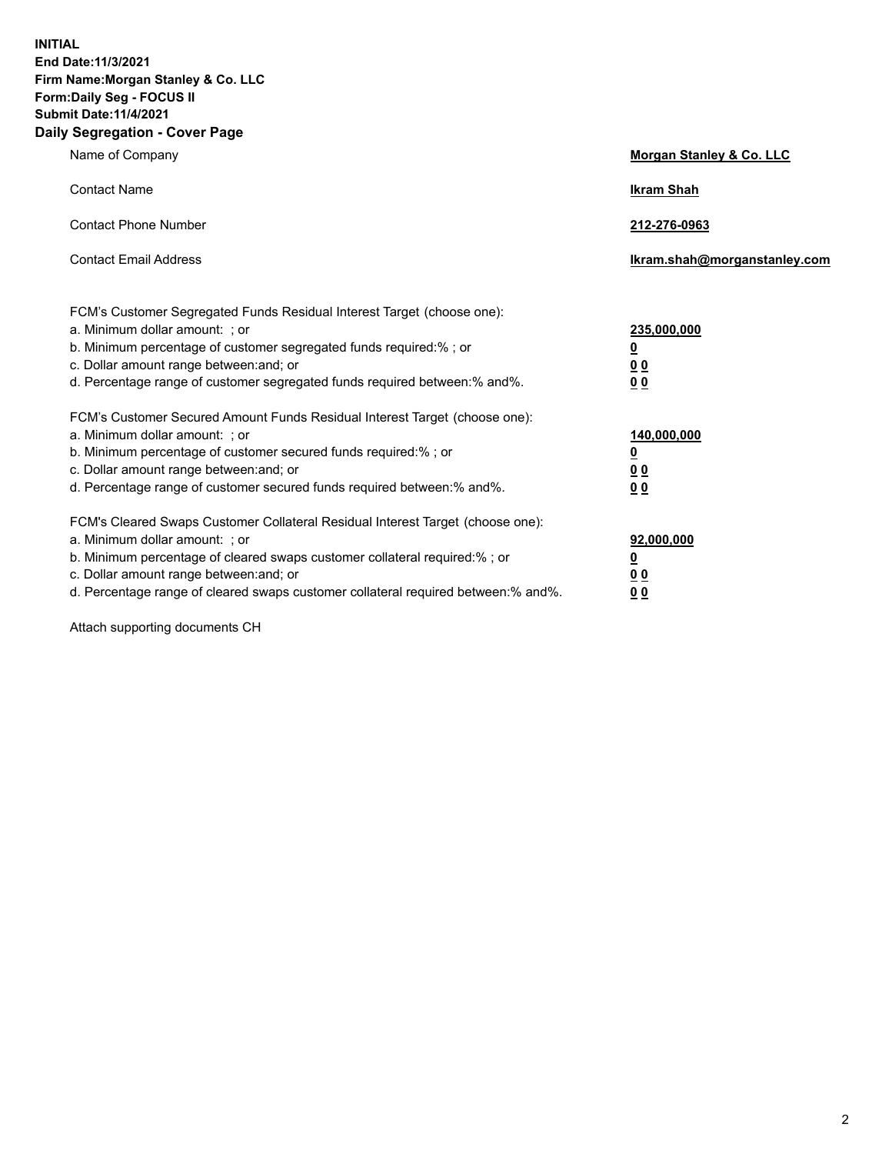**INITIAL End Date:11/3/2021 Firm Name:Morgan Stanley & Co. LLC Form:Daily Seg - FOCUS II Submit Date:11/4/2021 Daily Segregation - Cover Page**

| Name of Company                                                                                                                                                                                                                                                                                                               | Morgan Stanley & Co. LLC                               |
|-------------------------------------------------------------------------------------------------------------------------------------------------------------------------------------------------------------------------------------------------------------------------------------------------------------------------------|--------------------------------------------------------|
| <b>Contact Name</b>                                                                                                                                                                                                                                                                                                           | <b>Ikram Shah</b>                                      |
| <b>Contact Phone Number</b>                                                                                                                                                                                                                                                                                                   | 212-276-0963                                           |
| <b>Contact Email Address</b>                                                                                                                                                                                                                                                                                                  | Ikram.shah@morganstanley.com                           |
| FCM's Customer Segregated Funds Residual Interest Target (choose one):<br>a. Minimum dollar amount: ; or<br>b. Minimum percentage of customer segregated funds required:% ; or<br>c. Dollar amount range between: and; or<br>d. Percentage range of customer segregated funds required between:% and%.                        | 235,000,000<br><u>0</u><br><u>00</u><br>0 <sup>0</sup> |
| FCM's Customer Secured Amount Funds Residual Interest Target (choose one):<br>a. Minimum dollar amount: ; or<br>b. Minimum percentage of customer secured funds required:%; or<br>c. Dollar amount range between: and; or<br>d. Percentage range of customer secured funds required between:% and%.                           | 140,000,000<br><u>0</u><br><u>00</u><br>0 <sub>0</sub> |
| FCM's Cleared Swaps Customer Collateral Residual Interest Target (choose one):<br>a. Minimum dollar amount: ; or<br>b. Minimum percentage of cleared swaps customer collateral required:%; or<br>c. Dollar amount range between: and; or<br>d. Percentage range of cleared swaps customer collateral required between:% and%. | 92,000,000<br><u>0</u><br>0 Q<br>00                    |

Attach supporting documents CH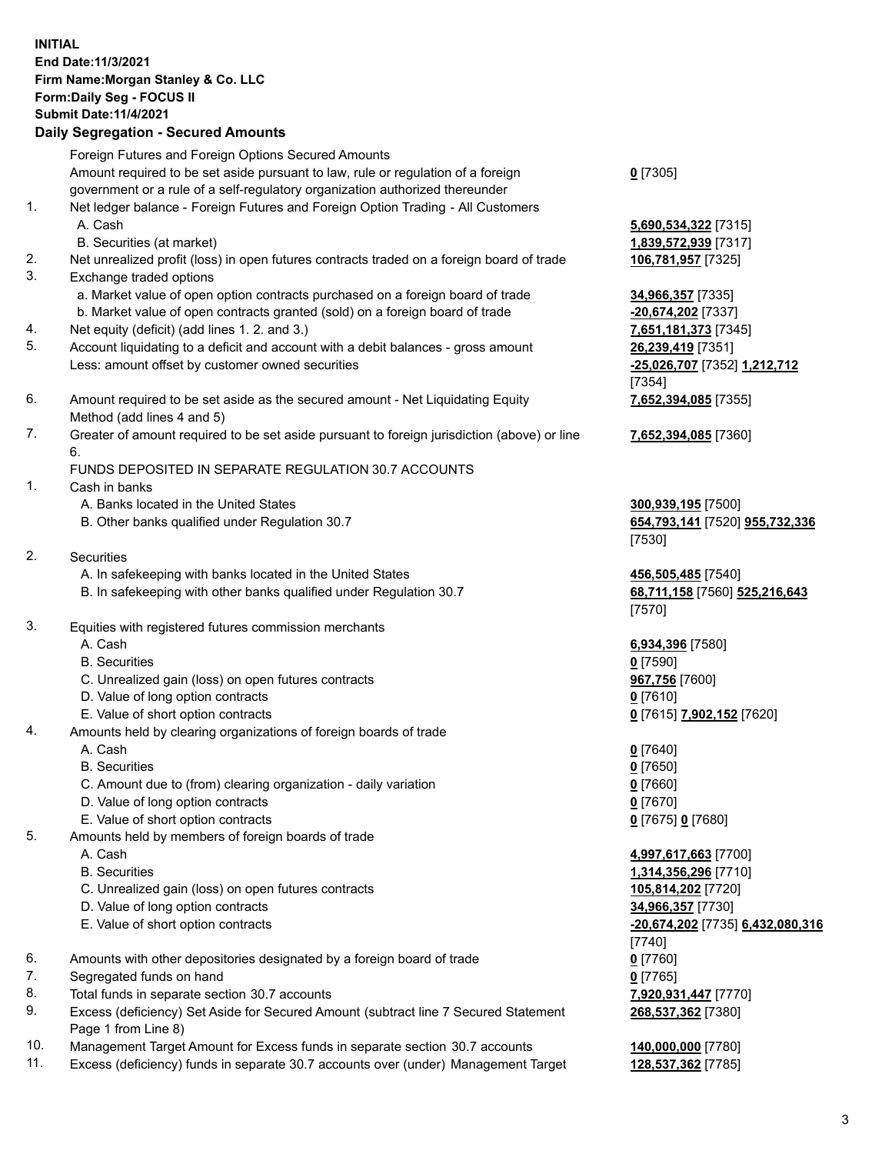## **INITIAL End Date:11/3/2021 Firm Name:Morgan Stanley & Co. LLC Form:Daily Seg - FOCUS II Submit Date:11/4/2021 Daily Segregation - Secured Amounts**

Foreign Futures and Foreign Options Secured Amounts

Amount required to be set aside pursuant to law, rule or regulation of a foreign government or a rule of a self-regulatory organization authorized thereunder

- 1. Net ledger balance Foreign Futures and Foreign Option Trading All Customers A. Cash **5,690,534,322** [7315]
	- B. Securities (at market) **1,839,572,939** [7317]
- 2. Net unrealized profit (loss) in open futures contracts traded on a foreign board of trade **106,781,957** [7325]
- 3. Exchange traded options
	- a. Market value of open option contracts purchased on a foreign board of trade **34,966,357** [7335]
	- b. Market value of open contracts granted (sold) on a foreign board of trade **-20,674,202** [7337]
- 4. Net equity (deficit) (add lines 1. 2. and 3.) **7,651,181,373** [7345]
- 5. Account liquidating to a deficit and account with a debit balances gross amount **26,239,419** [7351] Less: amount offset by customer owned securities **-25,026,707** [7352] **1,212,712**
- 6. Amount required to be set aside as the secured amount Net Liquidating Equity Method (add lines 4 and 5)
- 7. Greater of amount required to be set aside pursuant to foreign jurisdiction (above) or line 6.

## FUNDS DEPOSITED IN SEPARATE REGULATION 30.7 ACCOUNTS

- 1. Cash in banks
	- A. Banks located in the United States **300,939,195** [7500]
	- B. Other banks qualified under Regulation 30.7 **654,793,141** [7520] **955,732,336**
- 2. Securities
	- A. In safekeeping with banks located in the United States **456,505,485** [7540]
	- B. In safekeeping with other banks qualified under Regulation 30.7 **68,711,158** [7560] **525,216,643**
- 3. Equities with registered futures commission merchants
	-
	- B. Securities **0** [7590]
	- C. Unrealized gain (loss) on open futures contracts **967,756** [7600]
	- D. Value of long option contracts **0** [7610]
	- E. Value of short option contracts **0** [7615] **7,902,152** [7620]
- 4. Amounts held by clearing organizations of foreign boards of trade
	- A. Cash **0** [7640]
	- B. Securities **0** [7650]
	- C. Amount due to (from) clearing organization daily variation **0** [7660]
	- D. Value of long option contracts **0** [7670]
	- E. Value of short option contracts **0** [7675] **0** [7680]
- 5. Amounts held by members of foreign boards of trade
	-
	-
	- C. Unrealized gain (loss) on open futures contracts **105,814,202** [7720]
	- D. Value of long option contracts **34,966,357** [7730]
	- E. Value of short option contracts **-20,674,202** [7735] **6,432,080,316**
- 6. Amounts with other depositories designated by a foreign board of trade **0** [7760]
- 7. Segregated funds on hand **0** [7765]
- 8. Total funds in separate section 30.7 accounts **7,920,931,447** [7770]
- 9. Excess (deficiency) Set Aside for Secured Amount (subtract line 7 Secured Statement Page 1 from Line 8)
- 10. Management Target Amount for Excess funds in separate section 30.7 accounts **140,000,000** [7780]
- 11. Excess (deficiency) funds in separate 30.7 accounts over (under) Management Target **128,537,362** [7785]

**0** [7305]

[7354] **7,652,394,085** [7355]

**7,652,394,085** [7360]

[7530]

[7570]

A. Cash **6,934,396** [7580]

 A. Cash **4,997,617,663** [7700] B. Securities **1,314,356,296** [7710] [7740] **268,537,362** [7380]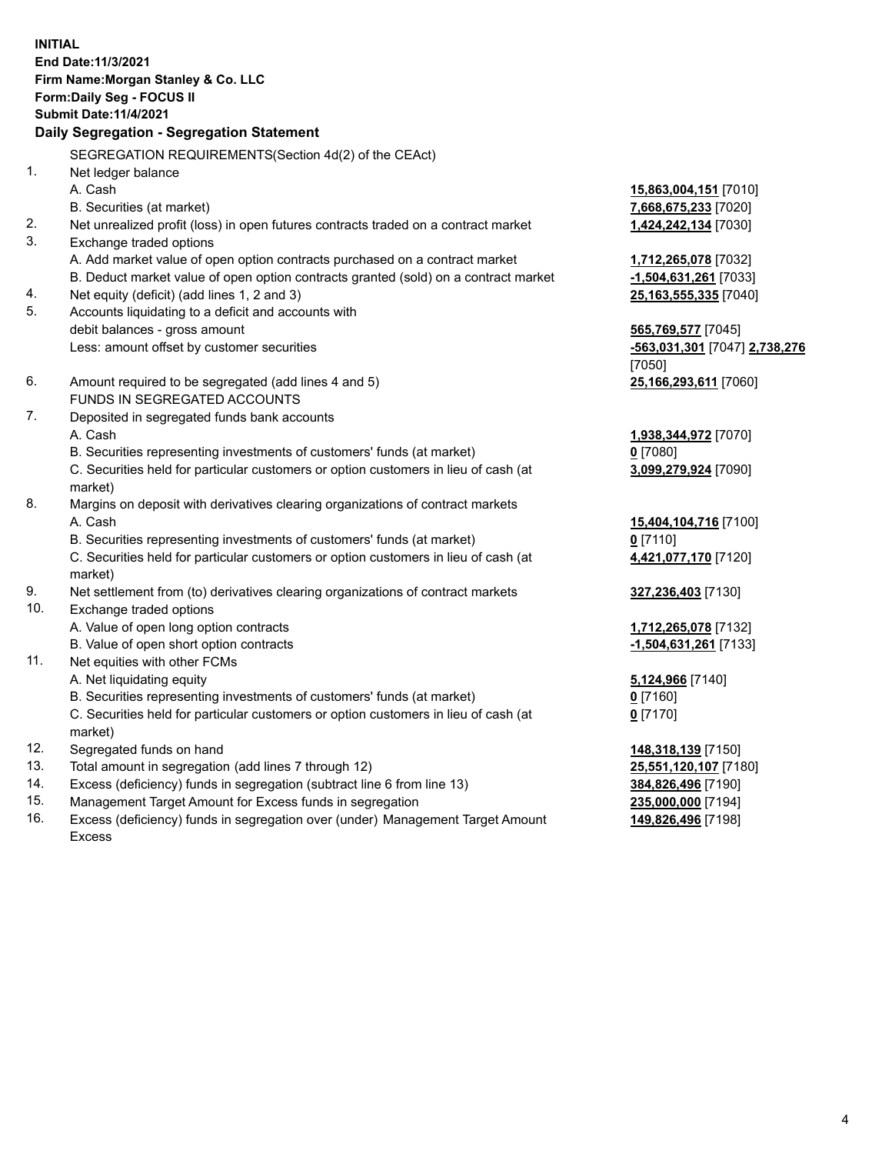**INITIAL End Date:11/3/2021 Firm Name:Morgan Stanley & Co. LLC Form:Daily Seg - FOCUS II Submit Date:11/4/2021 Daily Segregation - Segregation Statement** SEGREGATION REQUIREMENTS(Section 4d(2) of the CEAct) 1. Net ledger balance A. Cash **15,863,004,151** [7010] B. Securities (at market) **7,668,675,233** [7020] 2. Net unrealized profit (loss) in open futures contracts traded on a contract market **1,424,242,134** [7030] 3. Exchange traded options A. Add market value of open option contracts purchased on a contract market **1,712,265,078** [7032] B. Deduct market value of open option contracts granted (sold) on a contract market **-1,504,631,261** [7033] 4. Net equity (deficit) (add lines 1, 2 and 3) **25,163,555,335** [7040] 5. Accounts liquidating to a deficit and accounts with debit balances - gross amount **565,769,577** [7045] Less: amount offset by customer securities **-563,031,301** [7047] **2,738,276** [7050] 6. Amount required to be segregated (add lines 4 and 5) **25,166,293,611** [7060] FUNDS IN SEGREGATED ACCOUNTS 7. Deposited in segregated funds bank accounts A. Cash **1,938,344,972** [7070] B. Securities representing investments of customers' funds (at market) **0** [7080] C. Securities held for particular customers or option customers in lieu of cash (at market) **3,099,279,924** [7090] 8. Margins on deposit with derivatives clearing organizations of contract markets A. Cash **15,404,104,716** [7100] B. Securities representing investments of customers' funds (at market) **0** [7110] C. Securities held for particular customers or option customers in lieu of cash (at market) **4,421,077,170** [7120] 9. Net settlement from (to) derivatives clearing organizations of contract markets **327,236,403** [7130] 10. Exchange traded options A. Value of open long option contracts **1,712,265,078** [7132] B. Value of open short option contracts **and the set of our original contracts -1,504,631,261** [7133] 11. Net equities with other FCMs A. Net liquidating equity **5,124,966** [7140] B. Securities representing investments of customers' funds (at market) **0** [7160] C. Securities held for particular customers or option customers in lieu of cash (at market) **0** [7170] 12. Segregated funds on hand **148,318,139** [7150] 13. Total amount in segregation (add lines 7 through 12) **25,551,120,107** [7180] 14. Excess (deficiency) funds in segregation (subtract line 6 from line 13) **384,826,496** [7190]

- 15. Management Target Amount for Excess funds in segregation **235,000,000** [7194]
- 16. Excess (deficiency) funds in segregation over (under) Management Target Amount Excess

**149,826,496** [7198]